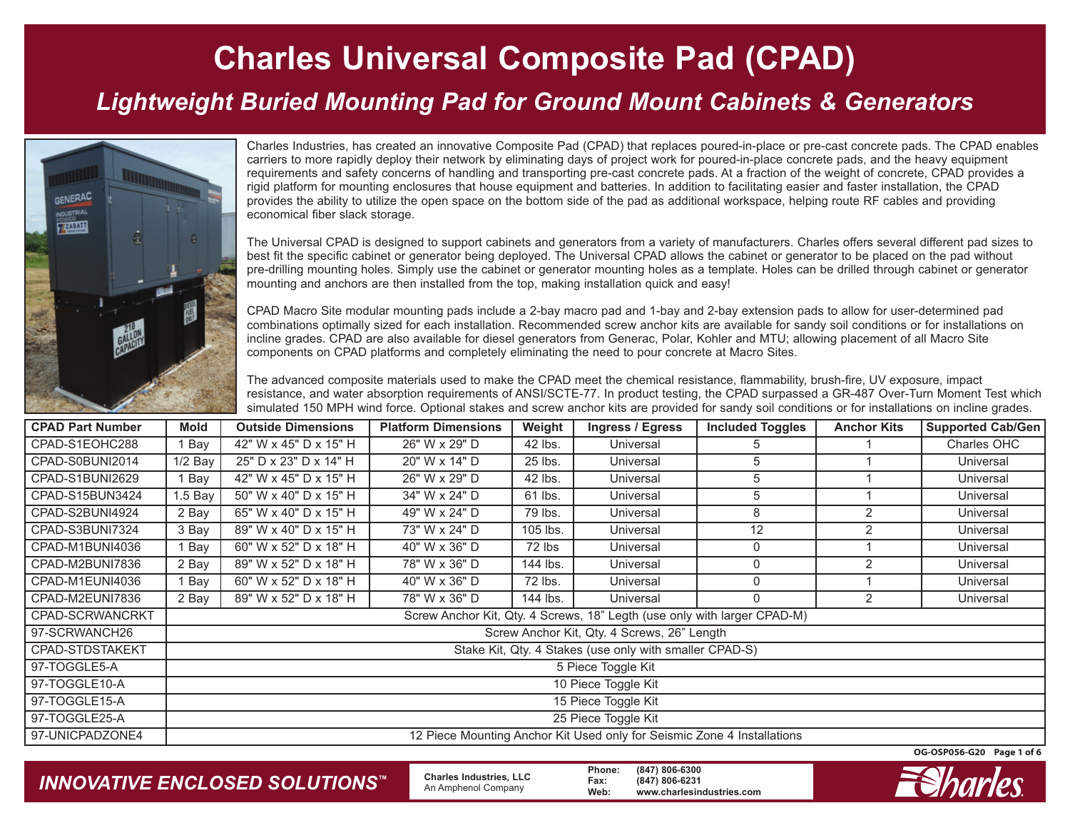#### *Lightweight Buried Mounting Pad for Ground Mount Cabinets & Generators*



Charles Industries, has created an innovative Composite Pad (CPAD) that replaces poured-in-place or pre-cast concrete pads. The CPAD enables carriers to more rapidly deploy their network by eliminating days of project work for poured-in-place concrete pads, and the heavy equipment requirements and safety concerns of handling and transporting pre-cast concrete pads. At a fraction of the weight of concrete, CPAD provides a rigid platform for mounting enclosures that house equipment and batteries. In addition to facilitating easier and faster installation, the CPAD provides the ability to utilize the open space on the bottom side of the pad as additional workspace, helping route RF cables and providing economical fiber slack storage.

The Universal CPAD is designed to support cabinets and generators from a variety of manufacturers. Charles offers several different pad sizes to best fit the specific cabinet or generator being deployed. The Universal CPAD allows the cabinet or generator to be placed on the pad without pre-drilling mounting holes. Simply use the cabinet or generator mounting holes as a template. Holes can be drilled through cabinet or generator mounting and anchors are then installed from the top, making installation quick and easy!

CPAD Macro Site modular mounting pads include a 2-bay macro pad and 1-bay and 2-bay extension pads to allow for user-determined pad combinations optimally sized for each installation. Recommended screw anchor kits are available for sandy soil conditions or for installations on incline grades. CPAD are also available for diesel generators from Generac, Polar, Kohler and MTU; allowing placement of all Macro Site components on CPAD platforms and completely eliminating the need to pour concrete at Macro Sites.

The advanced composite materials used to make the CPAD meet the chemical resistance, flammability, brush-fire, UV exposure, impact resistance, and water absorption requirements of ANSI/SCTE-77. In product testing, the CPAD surpassed a GR-487 Over-Turn Moment Test which simulated 150 MPH wind force. Optional stakes and screw anchor kits are provided for sandy soil conditions or for installations on incline grades.

| <b>CPAD Part Number</b> | Mold                                                                     | <b>Outside Dimensions</b> | <b>Platform Dimensions</b> | Weight   | <b>Ingress / Egress</b> | <b>Included Toggles</b> | <b>Anchor Kits</b> | <b>Supported Cab/Gen</b> |
|-------------------------|--------------------------------------------------------------------------|---------------------------|----------------------------|----------|-------------------------|-------------------------|--------------------|--------------------------|
| CPAD-S1EOHC288          | Bay                                                                      | 42" W x 45" D x 15" H     | 26" W x 29" D              | 42 lbs.  | Universal               | 5                       |                    | Charles OHC              |
| CPAD-S0BUNI2014         | $1/2$ Bay                                                                | 25" D x 23" D x 14" H     | 20" W x 14" D              | 25 lbs.  | Universal               | 5                       |                    | Universal                |
| CPAD-S1BUNI2629         | Bay                                                                      | 42" W x 45" D x 15" H     | 26" W x 29" D              | 42 lbs.  | Universal               | 5                       |                    | Universal                |
| CPAD-S15BUN3424         | 1.5 Bay                                                                  | 50" W x 40" D x 15" H     | 34" W x 24" D              | 61 lbs.  | Universal               | 5                       |                    | Universal                |
| CPAD-S2BUNI4924         | 2 Bay                                                                    | 65" W x 40" D x 15" H     | 49" W x 24" D              | 79 lbs.  | Universal               | 8                       | 2                  | Universal                |
| CPAD-S3BUNI7324         | 3 Bay                                                                    | 89" W x 40" D x 15" H     | 73" W x 24" D              | 105 lbs. | Universal               | 12                      | $\overline{2}$     | Universal                |
| CPAD-M1BUNI4036         | Bay                                                                      | 60" W x 52" D x 18" H     | 40" W x 36" D              | 72 lbs   | Universal               | 0                       |                    | Universal                |
| CPAD-M2BUNI7836         | 2 Bay                                                                    | 89" W x 52" D x 18" H     | 78" W x 36" D              | 144 lbs. | Universal               | 0                       | 2                  | Universal                |
| CPAD-M1EUNI4036         | Bay                                                                      | 60" W x 52" D x 18" H     | 40" W x 36" D              | 72 lbs.  | Universal               | 0                       |                    | Universal                |
| CPAD-M2EUNI7836         | 2 Bay                                                                    | 89" W x 52" D x 18" H     | 78" W x 36" D              | 144 lbs. | Universal               | 0                       | 2                  | Universal                |
| CPAD-SCRWANCRKT         | Screw Anchor Kit, Qty. 4 Screws, 18" Legth (use only with larger CPAD-M) |                           |                            |          |                         |                         |                    |                          |
| 97-SCRWANCH26           | Screw Anchor Kit, Qty. 4 Screws, 26" Length                              |                           |                            |          |                         |                         |                    |                          |
| CPAD-STDSTAKEKT         | Stake Kit, Qty. 4 Stakes (use only with smaller CPAD-S)                  |                           |                            |          |                         |                         |                    |                          |
| 97-TOGGLE5-A            | 5 Piece Toggle Kit                                                       |                           |                            |          |                         |                         |                    |                          |
| 97-TOGGLE10-A           | 10 Piece Toggle Kit                                                      |                           |                            |          |                         |                         |                    |                          |
| 97-TOGGLE15-A           | 15 Piece Toggle Kit                                                      |                           |                            |          |                         |                         |                    |                          |
| 97-TOGGLE25-A           | 25 Piece Toggle Kit                                                      |                           |                            |          |                         |                         |                    |                          |
| 97-UNICPADZONE4         | 12 Piece Mounting Anchor Kit Used only for Seismic Zone 4 Installations  |                           |                            |          |                         |                         |                    |                          |

**OG-OSP056-G20 Page 1 of 6**

*INNOVATIVE ENCLOSED SOLUTIONS ™*

 **Charles Industries, LLC** An Amphenol Company

**Phone: (847) 806-6300 Fax: (847) 806-6231 Web: www.charlesindustries.com**

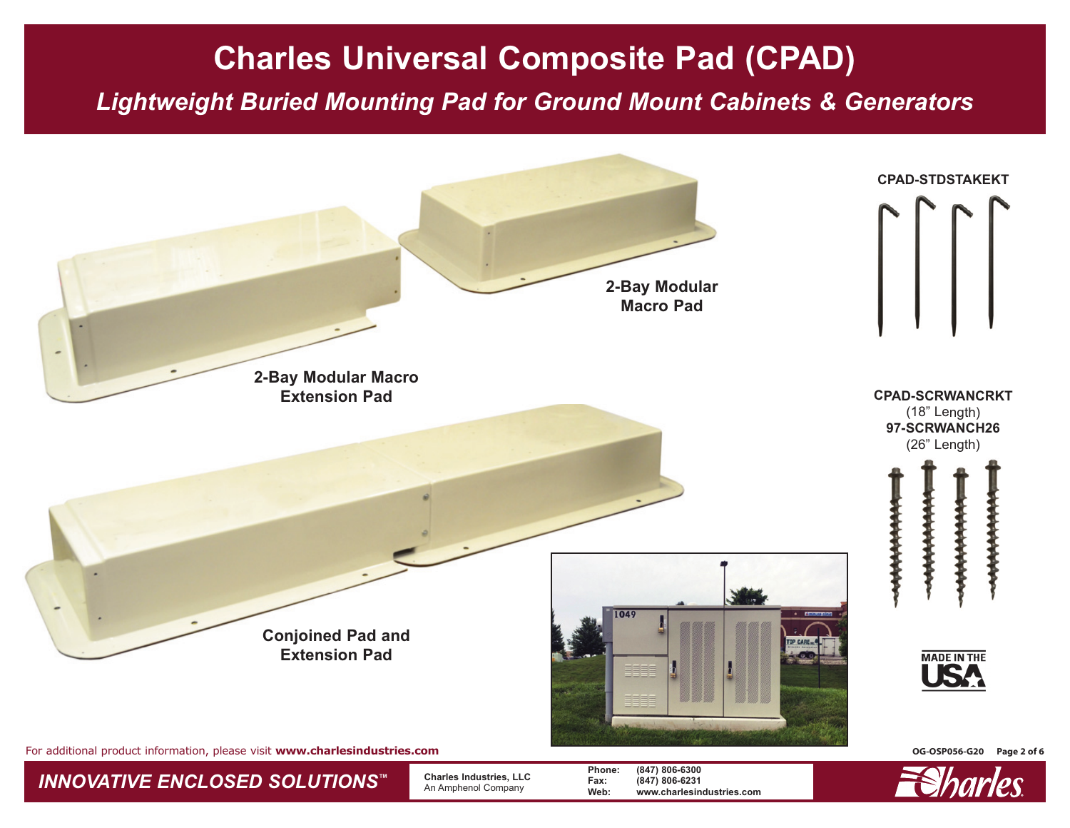*Lightweight Buried Mounting Pad for Ground Mount Cabinets & Generators*





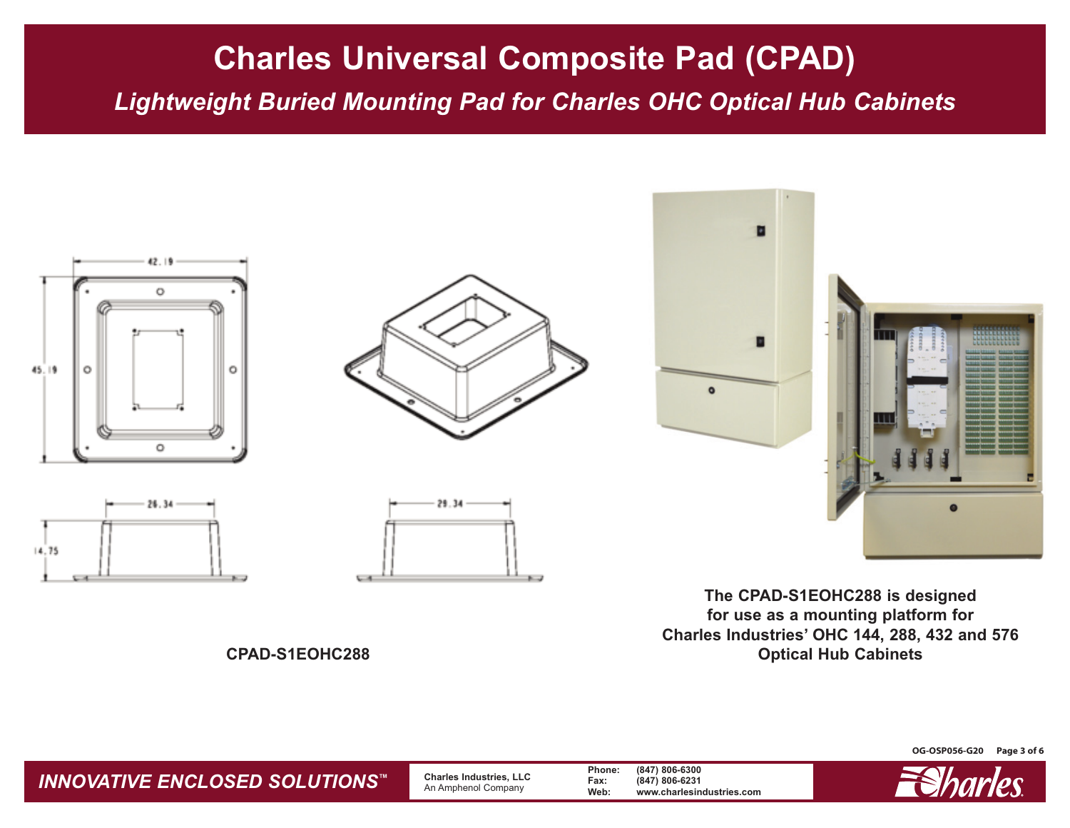*Lightweight Buried Mounting Pad for Charles OHC Optical Hub Cabinets*



**The CPAD-S1EOHC288 is designed for use as a mounting platform for Charles Industries' OHC 144, 288, 432 and 576 Optical Hub Cabinets**

**CPAD-S1EOHC288**

**OG-OSP056-G20 Page 3 of 6**



*INNOVATIVE ENCLOSED SOLUTIONS™* **Charles Industries, LLC** An Amphenol Company **Phone: (847) 806-6300 Fax: (847) 806-6231 Web: www.charlesindustries.com**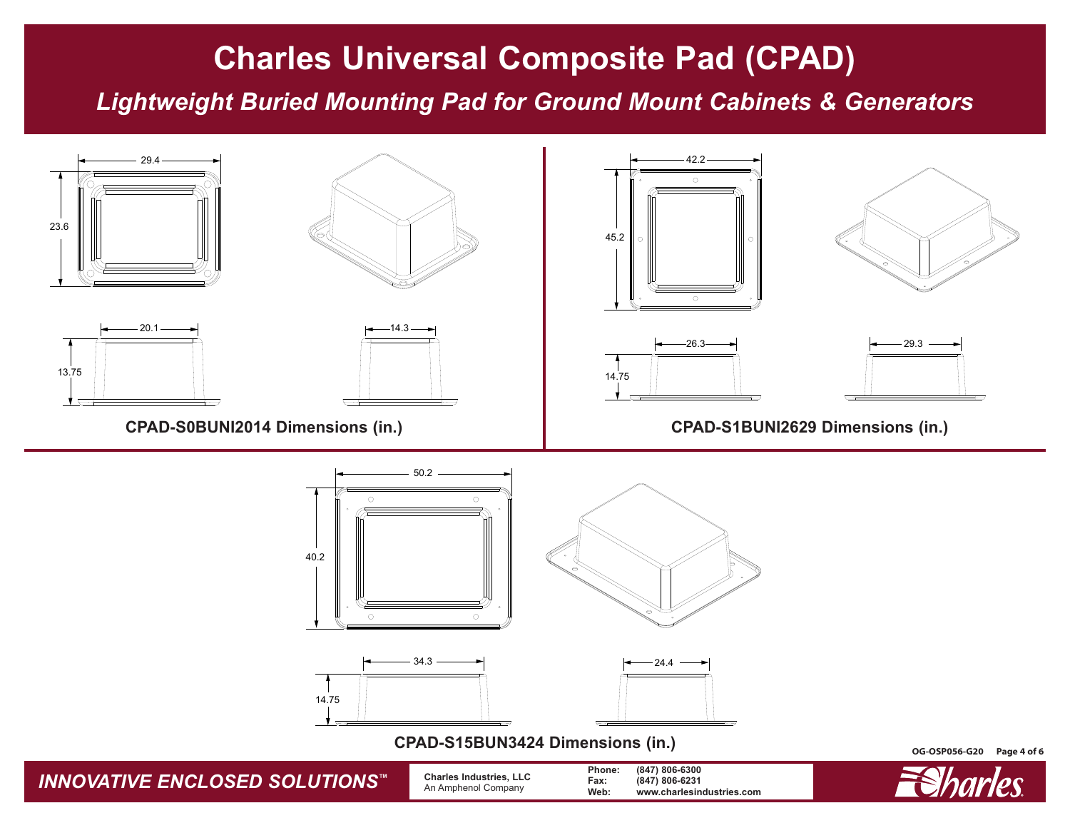*Lightweight Buried Mounting Pad for Ground Mount Cabinets & Generators*

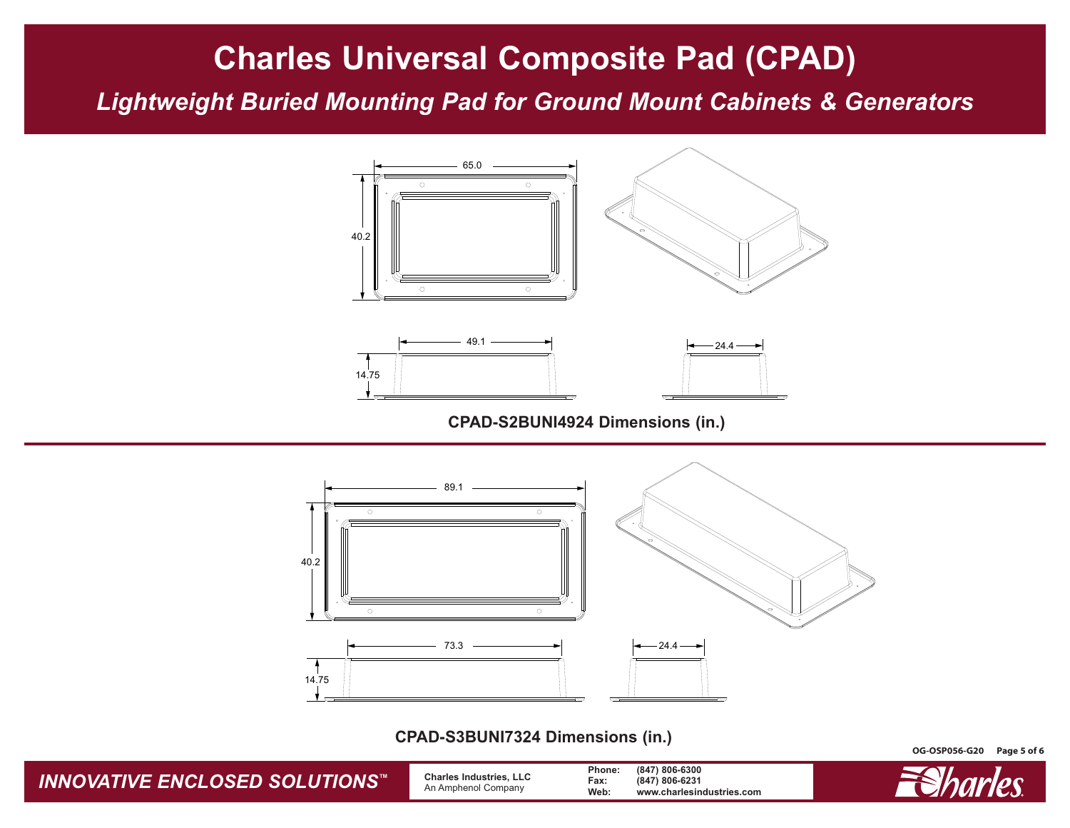*Lightweight Buried Mounting Pad for Ground Mount Cabinets & Generators*



**CPAD-S2BUNI4924 Dimensions (in.)**



**CPAD-S3BUNI7324 Dimensions (in.)**

*INNOVATIVE ENCLOSED SOLUTIONS™* **Charles Industries, LLC** An Amphenol Company **Phone: (847) 806-6300 Fax: (847) 806-6231 Web: www.charlesindustries.com**